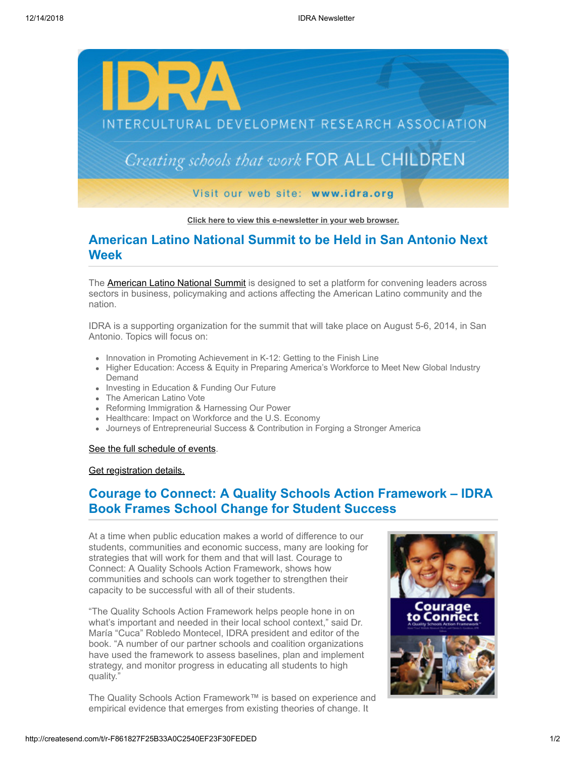

**[Click here to view this e-newsletter in your web browser.](http://newsletter.impulsedevelopment.com/t/r-e-mjlxtt-l-r/)**

### **American Latino National Summit to be Held in San Antonio Next Week**

The **American Latino National Summit** is designed to set a platform for convening leaders across sectors in business, policymaking and actions affecting the American Latino community and the nation.

IDRA is a supporting organization for the summit that will take place on August 5-6, 2014, in San Antonio. Topics will focus on:

- Innovation in Promoting Achievement in K-12: Getting to the Finish Line
- Higher Education: Access & Equity in Preparing America's Workforce to Meet New Global Industry Demand
- Investing in Education & Funding Our Future
- The American Latino Vote
- Reforming Immigration & Harnessing Our Power
- Healthcare: Impact on Workforce and the U.S. Economy
- Journeys of Entrepreneurial Success & Contribution in Forging a Stronger America

### [See the full schedule of events](http://idra.createsend1.com/t/r-l-mjlxtt-l-d/).

[Get registration details.](http://idra.createsend1.com/t/r-l-mjlxtt-l-o/)

# **Courage to Connect: A Quality Schools Action Framework – IDRA Book Frames School Change for Student Success**

At a time when public education makes a world of difference to our students, communities and economic success, many are looking for strategies that will work for them and that will last. Courage to Connect: A Quality Schools Action Framework, shows how communities and schools can work together to strengthen their capacity to be successful with all of their students.

"The Quality Schools Action Framework helps people hone in on what's important and needed in their local school context," said Dr. María "Cuca" Robledo Montecel, IDRA president and editor of the book. "A number of our partner schools and coalition organizations have used the framework to assess baselines, plan and implement strategy, and monitor progress in educating all students to high quality."

The Quality Schools Action Framework™ is based on experience and empirical evidence that emerges from existing theories of change. It